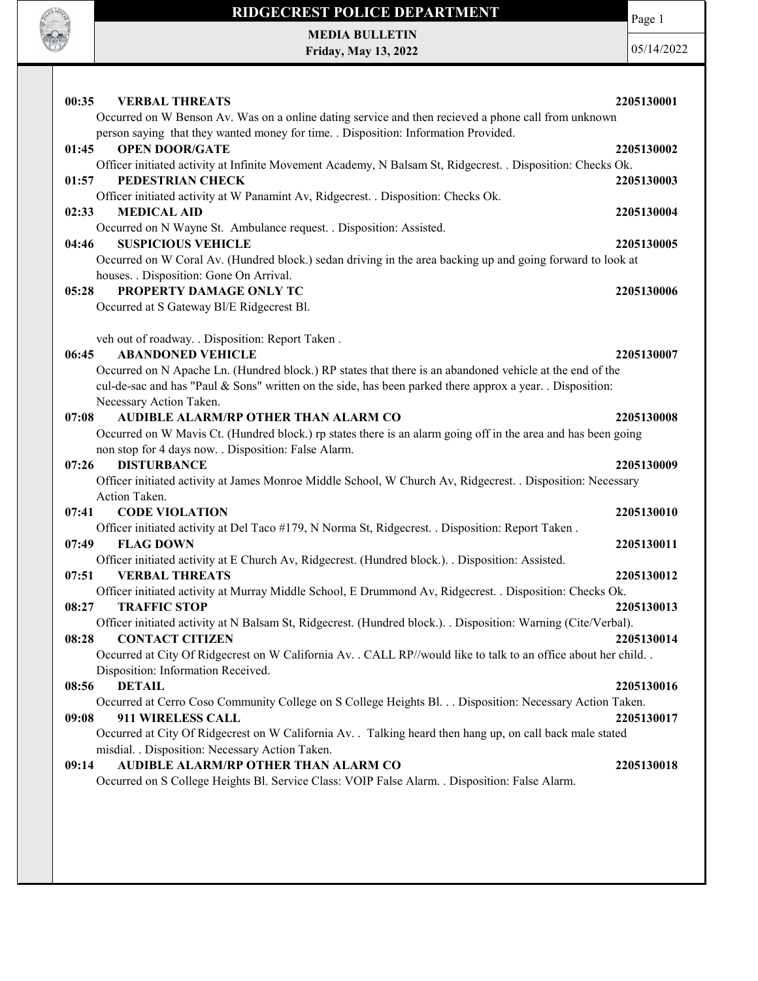

MEDIA BULLETIN Friday, May 13, 2022 Page 1

| <b>VERBAL THREATS</b><br>00:35<br>Occurred on W Benson Av. Was on a online dating service and then recieved a phone call from unknown | 2205130001 |
|---------------------------------------------------------------------------------------------------------------------------------------|------------|
| person saying that they wanted money for time. . Disposition: Information Provided.                                                   |            |
| 01:45<br><b>OPEN DOOR/GATE</b>                                                                                                        | 2205130002 |
| Officer initiated activity at Infinite Movement Academy, N Balsam St, Ridgecrest. . Disposition: Checks Ok.                           |            |
| PEDESTRIAN CHECK<br>01:57                                                                                                             | 2205130003 |
| Officer initiated activity at W Panamint Av, Ridgecrest. . Disposition: Checks Ok.<br>02:33<br><b>MEDICAL AID</b>                     | 2205130004 |
| Occurred on N Wayne St. Ambulance request. . Disposition: Assisted.                                                                   |            |
| <b>SUSPICIOUS VEHICLE</b><br>04:46                                                                                                    | 2205130005 |
| Occurred on W Coral Av. (Hundred block.) sedan driving in the area backing up and going forward to look at                            |            |
| houses. . Disposition: Gone On Arrival.                                                                                               |            |
| PROPERTY DAMAGE ONLY TC<br>05:28                                                                                                      | 2205130006 |
| Occurred at S Gateway Bl/E Ridgecrest Bl.                                                                                             |            |
|                                                                                                                                       |            |
| veh out of roadway. . Disposition: Report Taken.<br>06:45<br><b>ABANDONED VEHICLE</b>                                                 | 2205130007 |
| Occurred on N Apache Ln. (Hundred block.) RP states that there is an abandoned vehicle at the end of the                              |            |
| cul-de-sac and has "Paul & Sons" written on the side, has been parked there approx a year. . Disposition:                             |            |
| Necessary Action Taken.                                                                                                               |            |
| 07:08<br><b>AUDIBLE ALARM/RP OTHER THAN ALARM CO</b>                                                                                  | 2205130008 |
| Occurred on W Mavis Ct. (Hundred block.) rp states there is an alarm going off in the area and has been going                         |            |
| non stop for 4 days now. . Disposition: False Alarm.                                                                                  |            |
| <b>DISTURBANCE</b><br>07:26                                                                                                           | 2205130009 |
| Officer initiated activity at James Monroe Middle School, W Church Av, Ridgecrest. . Disposition: Necessary                           |            |
| Action Taken.<br>07:41<br><b>CODE VIOLATION</b>                                                                                       | 2205130010 |
| Officer initiated activity at Del Taco #179, N Norma St, Ridgecrest. . Disposition: Report Taken.                                     |            |
| 07:49<br><b>FLAG DOWN</b>                                                                                                             | 2205130011 |
| Officer initiated activity at E Church Av, Ridgecrest. (Hundred block.). . Disposition: Assisted.                                     |            |
| 07:51<br><b>VERBAL THREATS</b>                                                                                                        | 2205130012 |
| Officer initiated activity at Murray Middle School, E Drummond Av, Ridgecrest. . Disposition: Checks Ok.                              |            |
| 08:27<br><b>TRAFFIC STOP</b>                                                                                                          | 2205130013 |
| Officer initiated activity at N Balsam St, Ridgecrest. (Hundred block.). . Disposition: Warning (Cite/Verbal).                        |            |
| 08:28<br><b>CONTACT CITIZEN</b>                                                                                                       | 2205130014 |
| Occurred at City Of Ridgecrest on W California Av. . CALL RP//would like to talk to an office about her child                         |            |
| Disposition: Information Received.<br><b>DETAIL</b><br>08:56                                                                          | 2205130016 |
| Occurred at Cerro Coso Community College on S College Heights Bl. Disposition: Necessary Action Taken.                                |            |
| 911 WIRELESS CALL<br>09:08                                                                                                            | 2205130017 |
| Occurred at City Of Ridgecrest on W California Av. . Talking heard then hang up, on call back male stated                             |            |
| misdial. . Disposition: Necessary Action Taken.                                                                                       |            |
| <b>AUDIBLE ALARM/RP OTHER THAN ALARM CO</b><br>09:14                                                                                  | 2205130018 |
| Occurred on S College Heights Bl. Service Class: VOIP False Alarm. . Disposition: False Alarm.                                        |            |
|                                                                                                                                       |            |
|                                                                                                                                       |            |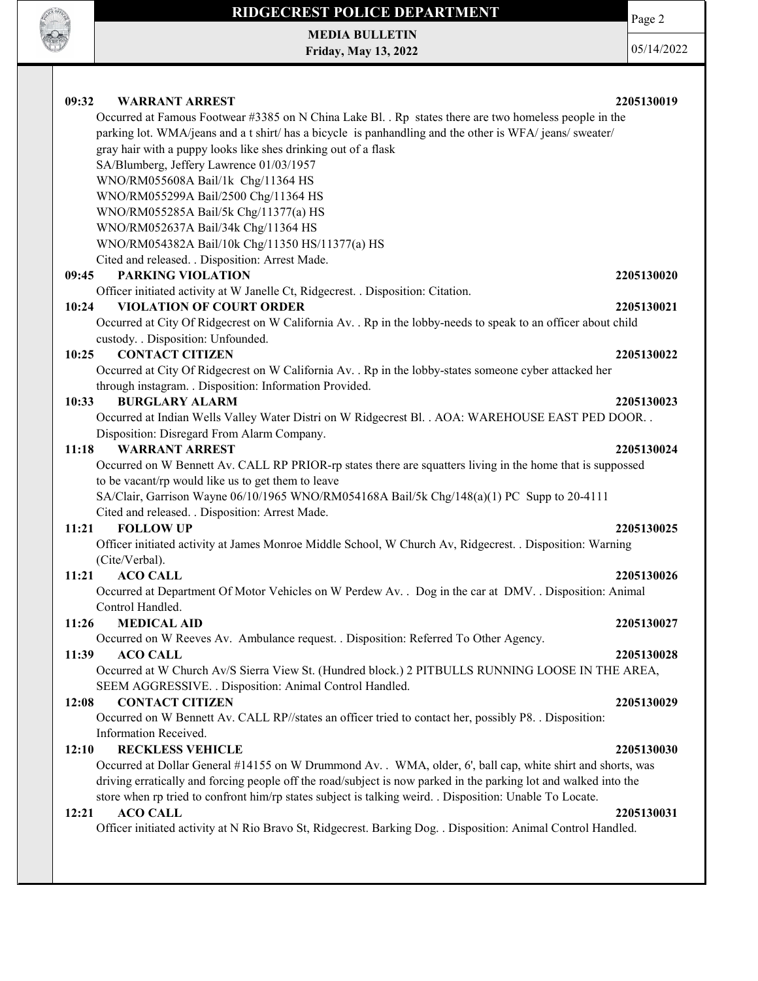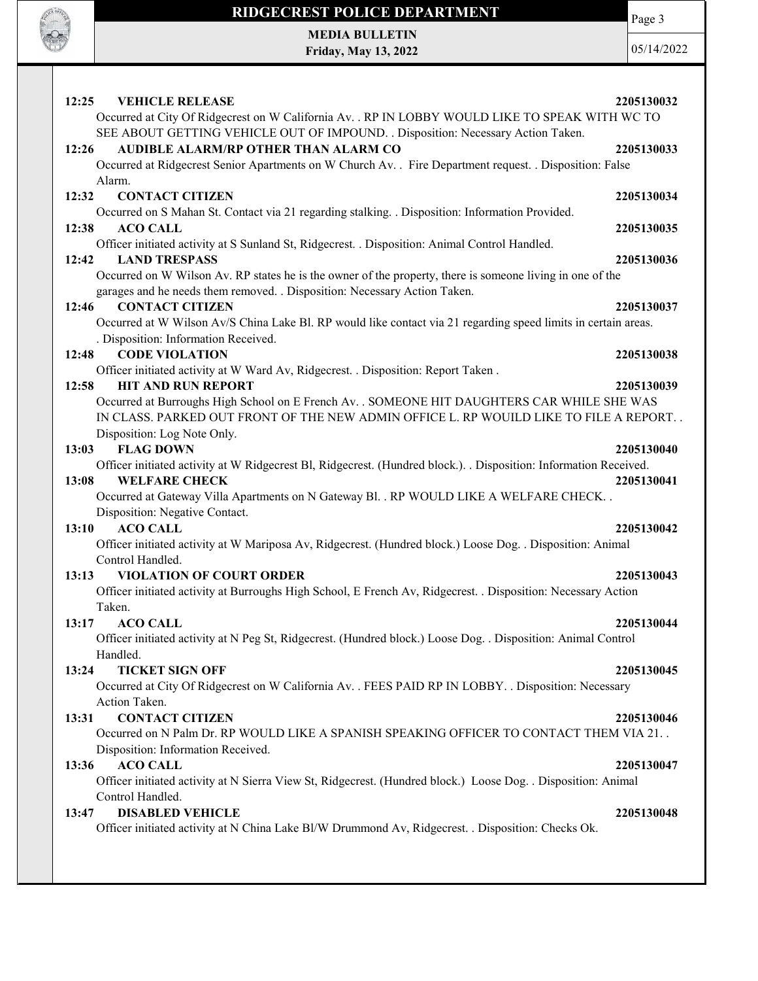

Page 3

MEDIA BULLETIN Friday, May 13, 2022

| 12:25<br><b>VEHICLE RELEASE</b><br>Occurred at City Of Ridgecrest on W California Av. . RP IN LOBBY WOULD LIKE TO SPEAK WITH WC TO                                                                                                                                          | 2205130032               |
|-----------------------------------------------------------------------------------------------------------------------------------------------------------------------------------------------------------------------------------------------------------------------------|--------------------------|
| SEE ABOUT GETTING VEHICLE OUT OF IMPOUND. . Disposition: Necessary Action Taken.<br>12:26<br><b>AUDIBLE ALARM/RP OTHER THAN ALARM CO</b><br>Occurred at Ridgecrest Senior Apartments on W Church Av. . Fire Department request. . Disposition: False                        | 2205130033               |
| Alarm.<br><b>CONTACT CITIZEN</b><br>12:32<br>Occurred on S Mahan St. Contact via 21 regarding stalking. . Disposition: Information Provided.                                                                                                                                | 2205130034               |
| 12:38<br><b>ACO CALL</b><br>Officer initiated activity at S Sunland St, Ridgecrest. . Disposition: Animal Control Handled.                                                                                                                                                  | 2205130035               |
| 12:42<br><b>LAND TRESPASS</b><br>Occurred on W Wilson Av. RP states he is the owner of the property, there is someone living in one of the<br>garages and he needs them removed. . Disposition: Necessary Action Taken.                                                     | 2205130036               |
| 12:46<br><b>CONTACT CITIZEN</b><br>Occurred at W Wilson Av/S China Lake Bl. RP would like contact via 21 regarding speed limits in certain areas.                                                                                                                           | 2205130037               |
| . Disposition: Information Received.<br><b>CODE VIOLATION</b><br>12:48<br>Officer initiated activity at W Ward Av, Ridgecrest. . Disposition: Report Taken.                                                                                                                 | 2205130038               |
| <b>HIT AND RUN REPORT</b><br>12:58<br>Occurred at Burroughs High School on E French Av. . SOMEONE HIT DAUGHTERS CAR WHILE SHE WAS<br>IN CLASS. PARKED OUT FRONT OF THE NEW ADMIN OFFICE L. RP WOUILD LIKE TO FILE A REPORT. .<br>Disposition: Log Note Only.                | 2205130039               |
| <b>FLAG DOWN</b><br>13:03<br>Officer initiated activity at W Ridgecrest Bl, Ridgecrest. (Hundred block.). . Disposition: Information Received.<br><b>WELFARE CHECK</b><br>13:08<br>Occurred at Gateway Villa Apartments on N Gateway Bl. . RP WOULD LIKE A WELFARE CHECK. . | 2205130040<br>2205130041 |
| Disposition: Negative Contact.<br>13:10<br><b>ACO CALL</b><br>Officer initiated activity at W Mariposa Av, Ridgecrest. (Hundred block.) Loose Dog. . Disposition: Animal                                                                                                    | 2205130042               |
| Control Handled.<br><b>VIOLATION OF COURT ORDER</b><br>13:13<br>Officer initiated activity at Burroughs High School, E French Av, Ridgecrest. . Disposition: Necessary Action<br>Taken.                                                                                     | 2205130043               |
| <b>ACO CALL</b><br>13:17<br>Officer initiated activity at N Peg St, Ridgecrest. (Hundred block.) Loose Dog. . Disposition: Animal Control<br>Handled.                                                                                                                       | 2205130044               |
| <b>TICKET SIGN OFF</b><br>13:24<br>Occurred at City Of Ridgecrest on W California Av. . FEES PAID RP IN LOBBY. . Disposition: Necessary<br>Action Taken.                                                                                                                    | 2205130045               |
| <b>CONTACT CITIZEN</b><br>13:31<br>Occurred on N Palm Dr. RP WOULD LIKE A SPANISH SPEAKING OFFICER TO CONTACT THEM VIA 21. .<br>Disposition: Information Received.                                                                                                          | 2205130046               |
| <b>ACO CALL</b><br>13:36<br>Officer initiated activity at N Sierra View St, Ridgecrest. (Hundred block.) Loose Dog. . Disposition: Animal                                                                                                                                   | 2205130047               |
| Control Handled.<br><b>DISABLED VEHICLE</b><br>13:47<br>Officer initiated activity at N China Lake Bl/W Drummond Av, Ridgecrest. . Disposition: Checks Ok.                                                                                                                  | 2205130048               |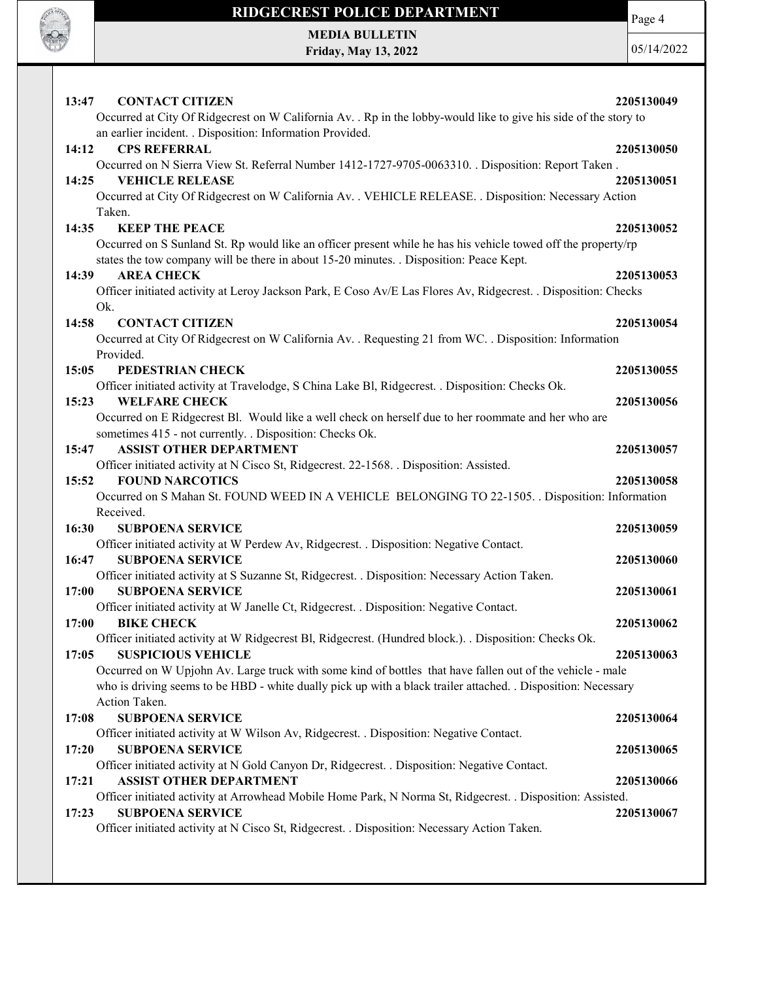

Page 4

MEDIA BULLETIN Friday, May 13, 2022

| <b>CONTACT CITIZEN</b><br>13:47                                                                                                   | 2205130049 |
|-----------------------------------------------------------------------------------------------------------------------------------|------------|
| Occurred at City Of Ridgecrest on W California Av. . Rp in the lobby-would like to give his side of the story to                  |            |
| an earlier incident. . Disposition: Information Provided.                                                                         |            |
| <b>CPS REFERRAL</b><br>14:12                                                                                                      | 2205130050 |
| Occurred on N Sierra View St. Referral Number 1412-1727-9705-0063310. . Disposition: Report Taken.                                |            |
| <b>VEHICLE RELEASE</b><br>14:25                                                                                                   | 2205130051 |
| Occurred at City Of Ridgecrest on W California Av. . VEHICLE RELEASE. . Disposition: Necessary Action                             |            |
| Taken.                                                                                                                            |            |
| 14:35<br><b>KEEP THE PEACE</b>                                                                                                    | 2205130052 |
| Occurred on S Sunland St. Rp would like an officer present while he has his vehicle towed off the property/rp                     |            |
| states the tow company will be there in about 15-20 minutes. . Disposition: Peace Kept.                                           |            |
| <b>AREA CHECK</b><br>14:39                                                                                                        | 2205130053 |
| Officer initiated activity at Leroy Jackson Park, E Coso Av/E Las Flores Av, Ridgecrest. . Disposition: Checks                    |            |
| Ok.                                                                                                                               |            |
| 14:58<br><b>CONTACT CITIZEN</b>                                                                                                   | 2205130054 |
| Occurred at City Of Ridgecrest on W California Av. . Requesting 21 from WC. . Disposition: Information                            |            |
| Provided.<br><b>PEDESTRIAN CHECK</b>                                                                                              |            |
| 15:05                                                                                                                             | 2205130055 |
| Officer initiated activity at Travelodge, S China Lake Bl, Ridgecrest. . Disposition: Checks Ok.<br>15:23<br><b>WELFARE CHECK</b> | 2205130056 |
| Occurred on E Ridgecrest Bl. Would like a well check on herself due to her roommate and her who are                               |            |
| sometimes 415 - not currently. . Disposition: Checks Ok.                                                                          |            |
| <b>ASSIST OTHER DEPARTMENT</b><br>15:47                                                                                           | 2205130057 |
| Officer initiated activity at N Cisco St, Ridgecrest. 22-1568. . Disposition: Assisted.                                           |            |
| <b>FOUND NARCOTICS</b><br>15:52                                                                                                   | 2205130058 |
| Occurred on S Mahan St. FOUND WEED IN A VEHICLE BELONGING TO 22-1505. Disposition: Information                                    |            |
| Received.                                                                                                                         |            |
| 16:30<br><b>SUBPOENA SERVICE</b>                                                                                                  | 2205130059 |
| Officer initiated activity at W Perdew Av, Ridgecrest. . Disposition: Negative Contact.                                           |            |
| 16:47<br><b>SUBPOENA SERVICE</b>                                                                                                  | 2205130060 |
| Officer initiated activity at S Suzanne St, Ridgecrest. . Disposition: Necessary Action Taken.                                    |            |
| 17:00<br><b>SUBPOENA SERVICE</b>                                                                                                  | 2205130061 |
| Officer initiated activity at W Janelle Ct, Ridgecrest. . Disposition: Negative Contact.                                          |            |
| <b>BIKE CHECK</b><br>17:00                                                                                                        | 2205130062 |
| Officer initiated activity at W Ridgecrest Bl, Ridgecrest. (Hundred block.). . Disposition: Checks Ok.                            |            |
| <b>SUSPICIOUS VEHICLE</b><br>17:05                                                                                                | 2205130063 |
| Occurred on W Upjohn Av. Large truck with some kind of bottles that have fallen out of the vehicle - male                         |            |
| who is driving seems to be HBD - white dually pick up with a black trailer attached. . Disposition: Necessary                     |            |
| Action Taken.                                                                                                                     |            |
| <b>SUBPOENA SERVICE</b><br>17:08                                                                                                  | 2205130064 |
| Officer initiated activity at W Wilson Av, Ridgecrest. . Disposition: Negative Contact.                                           |            |
| 17:20<br><b>SUBPOENA SERVICE</b>                                                                                                  | 2205130065 |
| Officer initiated activity at N Gold Canyon Dr, Ridgecrest. . Disposition: Negative Contact.                                      |            |
| 17:21<br><b>ASSIST OTHER DEPARTMENT</b>                                                                                           | 2205130066 |
| Officer initiated activity at Arrowhead Mobile Home Park, N Norma St, Ridgecrest. . Disposition: Assisted.                        |            |
| <b>SUBPOENA SERVICE</b><br>17:23                                                                                                  | 2205130067 |
| Officer initiated activity at N Cisco St, Ridgecrest. . Disposition: Necessary Action Taken.                                      |            |
|                                                                                                                                   |            |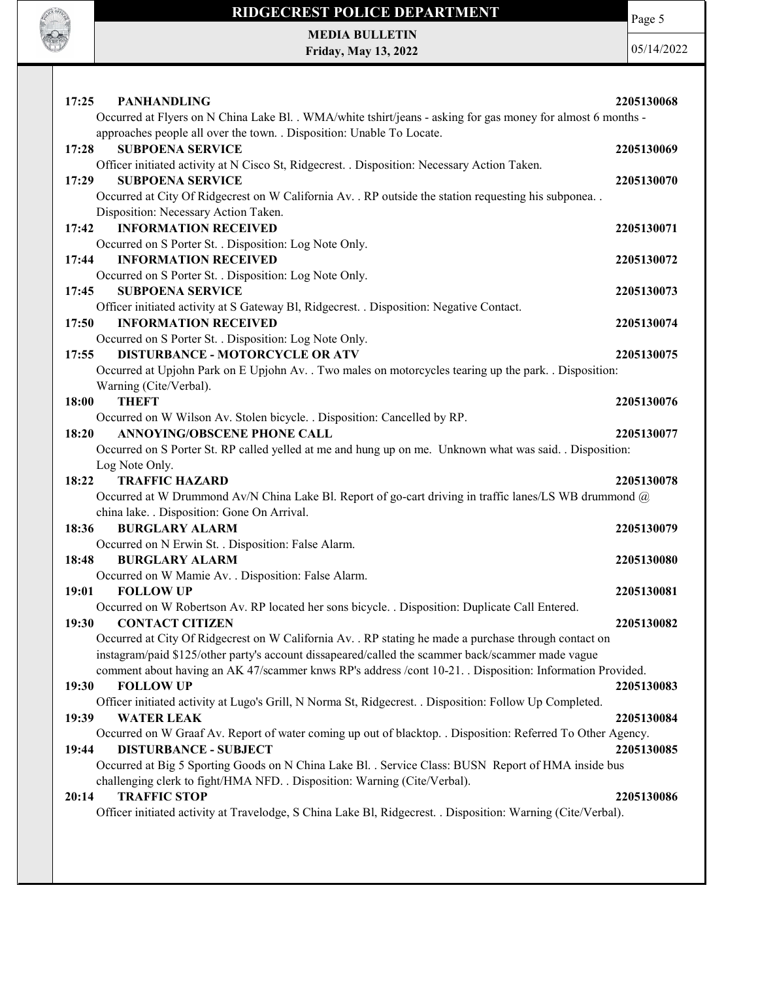

MEDIA BULLETIN Friday, May 13, 2022

**CALL OF OFFICER** 

| 17:25<br><b>PANHANDLING</b>                                                                                  | 2205130068 |
|--------------------------------------------------------------------------------------------------------------|------------|
| Occurred at Flyers on N China Lake Bl. . WMA/white tshirt/jeans - asking for gas money for almost 6 months - |            |
| approaches people all over the town. . Disposition: Unable To Locate.                                        |            |
| 17:28<br><b>SUBPOENA SERVICE</b>                                                                             | 2205130069 |
| Officer initiated activity at N Cisco St, Ridgecrest. . Disposition: Necessary Action Taken.                 |            |
| <b>SUBPOENA SERVICE</b><br>17:29                                                                             | 2205130070 |
| Occurred at City Of Ridgecrest on W California Av. . RP outside the station requesting his subponea          |            |
| Disposition: Necessary Action Taken.                                                                         |            |
| <b>INFORMATION RECEIVED</b><br>17:42                                                                         | 2205130071 |
| Occurred on S Porter St. . Disposition: Log Note Only.                                                       |            |
| <b>INFORMATION RECEIVED</b><br>17:44                                                                         | 2205130072 |
| Occurred on S Porter St. . Disposition: Log Note Only.                                                       |            |
| <b>SUBPOENA SERVICE</b><br>17:45                                                                             | 2205130073 |
| Officer initiated activity at S Gateway Bl, Ridgecrest. . Disposition: Negative Contact.                     |            |
| 17:50<br><b>INFORMATION RECEIVED</b>                                                                         | 2205130074 |
| Occurred on S Porter St. . Disposition: Log Note Only.                                                       |            |
| <b>DISTURBANCE - MOTORCYCLE OR ATV</b><br>17:55                                                              | 2205130075 |
| Occurred at Upjohn Park on E Upjohn Av. . Two males on motorcycles tearing up the park. . Disposition:       |            |
| Warning (Cite/Verbal).<br>THEFT                                                                              | 2205130076 |
| <b>18:00</b><br>Occurred on W Wilson Av. Stolen bicycle. . Disposition: Cancelled by RP.                     |            |
| <b>ANNOYING/OBSCENE PHONE CALL</b><br>18:20                                                                  | 2205130077 |
| Occurred on S Porter St. RP called yelled at me and hung up on me. Unknown what was said. . Disposition:     |            |
| Log Note Only.                                                                                               |            |
| 18:22<br><b>TRAFFIC HAZARD</b>                                                                               | 2205130078 |
| Occurred at W Drummond Av/N China Lake Bl. Report of go-cart driving in traffic lanes/LS WB drummond @       |            |
| china lake. . Disposition: Gone On Arrival.                                                                  |            |
| <b>BURGLARY ALARM</b><br>18:36                                                                               | 2205130079 |
| Occurred on N Erwin St. . Disposition: False Alarm.                                                          |            |
| <b>BURGLARY ALARM</b><br>18:48                                                                               | 2205130080 |
| Occurred on W Mamie Av. . Disposition: False Alarm.                                                          |            |
| 19:01<br><b>FOLLOW UP</b>                                                                                    | 2205130081 |
| Occurred on W Robertson Av. RP located her sons bicycle. . Disposition: Duplicate Call Entered.              |            |
| 19:30<br><b>CONTACT CITIZEN</b>                                                                              | 2205130082 |
| Occurred at City Of Ridgecrest on W California Av. . RP stating he made a purchase through contact on        |            |
| instagram/paid \$125/other party's account dissapeared/called the scammer back/scammer made vague            |            |
| comment about having an AK 47/scammer knws RP's address /cont 10-21. Disposition: Information Provided.      |            |
| <b>FOLLOW UP</b><br>19:30                                                                                    | 2205130083 |
| Officer initiated activity at Lugo's Grill, N Norma St, Ridgecrest. . Disposition: Follow Up Completed.      |            |
| 19:39<br><b>WATER LEAK</b>                                                                                   | 2205130084 |
| Occurred on W Graaf Av. Report of water coming up out of blacktop. . Disposition: Referred To Other Agency.  |            |
| <b>DISTURBANCE - SUBJECT</b><br>19:44                                                                        | 2205130085 |
| Occurred at Big 5 Sporting Goods on N China Lake Bl. . Service Class: BUSN Report of HMA inside bus          |            |
| challenging clerk to fight/HMA NFD. . Disposition: Warning (Cite/Verbal).                                    |            |
| <b>TRAFFIC STOP</b><br>20:14                                                                                 | 2205130086 |
| Officer initiated activity at Travelodge, S China Lake Bl, Ridgecrest. . Disposition: Warning (Cite/Verbal). |            |
|                                                                                                              |            |
|                                                                                                              |            |